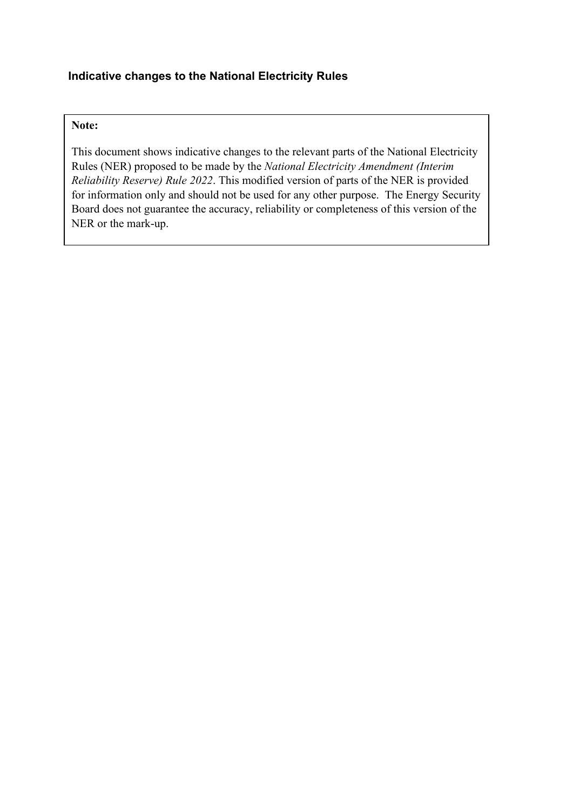# **Indicative changes to the National Electricity Rules**

## **Note:**

This document shows indicative changes to the relevant parts of the National Electricity Rules (NER) proposed to be made by the *National Electricity Amendment (Interim Reliability Reserve) Rule 2022*. This modified version of parts of the NER is provided for information only and should not be used for any other purpose. The Energy Security Board does not guarantee the accuracy, reliability or completeness of this version of the NER or the mark-up.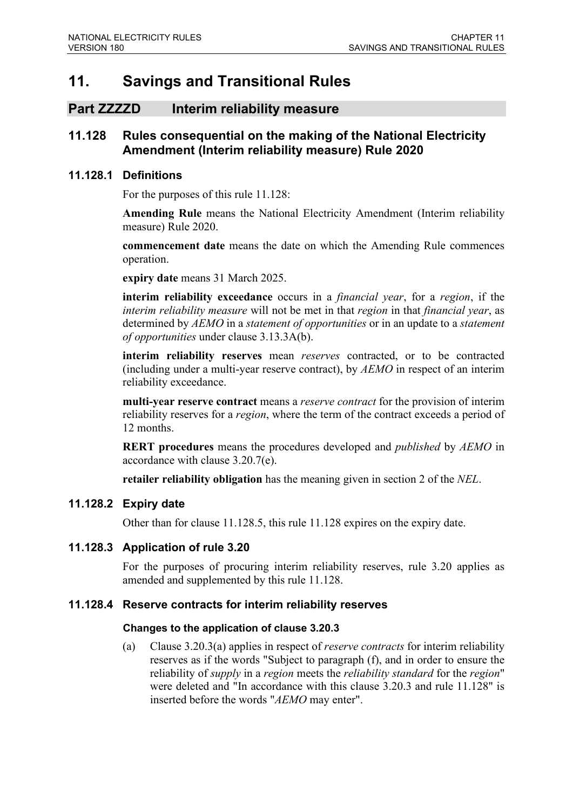# **11. Savings and Transitional Rules**

## **Part ZZZZD Interim reliability measure**

## **11.128 Rules consequential on the making of the National Electricity Amendment (Interim reliability measure) Rule 2020**

#### **11.128.1 Definitions**

For the purposes of this rule 11.128:

**Amending Rule** means the National Electricity Amendment (Interim reliability measure) Rule 2020.

**commencement date** means the date on which the Amending Rule commences operation.

**expiry date** means 31 March 2025.

**interim reliability exceedance** occurs in a *financial year*, for a *region*, if the *interim reliability measure* will not be met in that *region* in that *financial year*, as determined by *AEMO* in a *statement of opportunities* or in an update to a *statement of opportunities* under clause 3.13.3A(b).

**interim reliability reserves** mean *reserves* contracted, or to be contracted (including under a multi-year reserve contract), by *AEMO* in respect of an interim reliability exceedance.

**multi-year reserve contract** means a *reserve contract* for the provision of interim reliability reserves for a *region*, where the term of the contract exceeds a period of 12 months.

**RERT procedures** means the procedures developed and *published* by *AEMO* in accordance with clause 3.20.7(e).

**retailer reliability obligation** has the meaning given in section 2 of the *NEL*.

## **11.128.2 Expiry date**

Other than for clause 11.128.5, this rule 11.128 expires on the expiry date.

## **11.128.3 Application of rule 3.20**

For the purposes of procuring interim reliability reserves, rule 3.20 applies as amended and supplemented by this rule 11.128.

#### **11.128.4 Reserve contracts for interim reliability reserves**

#### **Changes to the application of clause 3.20.3**

(a) Clause 3.20.3(a) applies in respect of *reserve contracts* for interim reliability reserves as if the words "Subject to paragraph (f), and in order to ensure the reliability of *supply* in a *region* meets the *reliability standard* for the *region*" were deleted and "In accordance with this clause 3.20.3 and rule 11.128" is inserted before the words "*AEMO* may enter".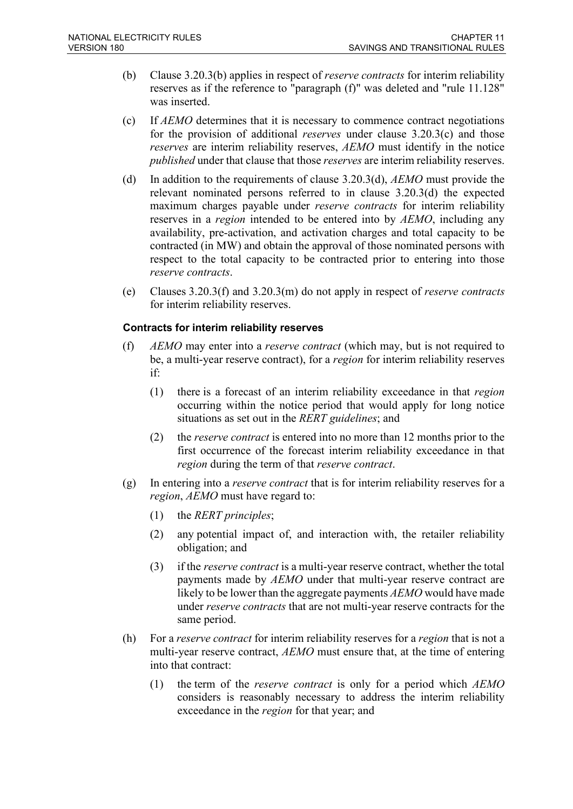- (b) Clause 3.20.3(b) applies in respect of *reserve contracts* for interim reliability reserves as if the reference to "paragraph (f)" was deleted and "rule 11.128" was inserted.
- (c) If *AEMO* determines that it is necessary to commence contract negotiations for the provision of additional *reserves* under clause 3.20.3(c) and those *reserves* are interim reliability reserves, *AEMO* must identify in the notice *published* under that clause that those *reserves* are interim reliability reserves.
- (d) In addition to the requirements of clause 3.20.3(d), *AEMO* must provide the relevant nominated persons referred to in clause 3.20.3(d) the expected maximum charges payable under *reserve contracts* for interim reliability reserves in a *region* intended to be entered into by *AEMO*, including any availability, pre-activation, and activation charges and total capacity to be contracted (in MW) and obtain the approval of those nominated persons with respect to the total capacity to be contracted prior to entering into those *reserve contracts*.
- (e) Clauses 3.20.3(f) and 3.20.3(m) do not apply in respect of *reserve contracts* for interim reliability reserves.

#### **Contracts for interim reliability reserves**

- (f) *AEMO* may enter into a *reserve contract* (which may, but is not required to be, a multi-year reserve contract), for a *region* for interim reliability reserves if:
	- (1) there is a forecast of an interim reliability exceedance in that *region* occurring within the notice period that would apply for long notice situations as set out in the *RERT guidelines*; and
	- (2) the *reserve contract* is entered into no more than 12 months prior to the first occurrence of the forecast interim reliability exceedance in that *region* during the term of that *reserve contract*.
- (g) In entering into a *reserve contract* that is for interim reliability reserves for a *region*, *AEMO* must have regard to:
	- (1) the *RERT principles*;
	- (2) any potential impact of, and interaction with, the retailer reliability obligation; and
	- (3) if the *reserve contract* is a multi-year reserve contract, whether the total payments made by *AEMO* under that multi-year reserve contract are likely to be lower than the aggregate payments *AEMO* would have made under *reserve contracts* that are not multi-year reserve contracts for the same period.
- (h) For a *reserve contract* for interim reliability reserves for a *region* that is not a multi-year reserve contract, *AEMO* must ensure that, at the time of entering into that contract:
	- (1) the term of the *reserve contract* is only for a period which *AEMO* considers is reasonably necessary to address the interim reliability exceedance in the *region* for that year; and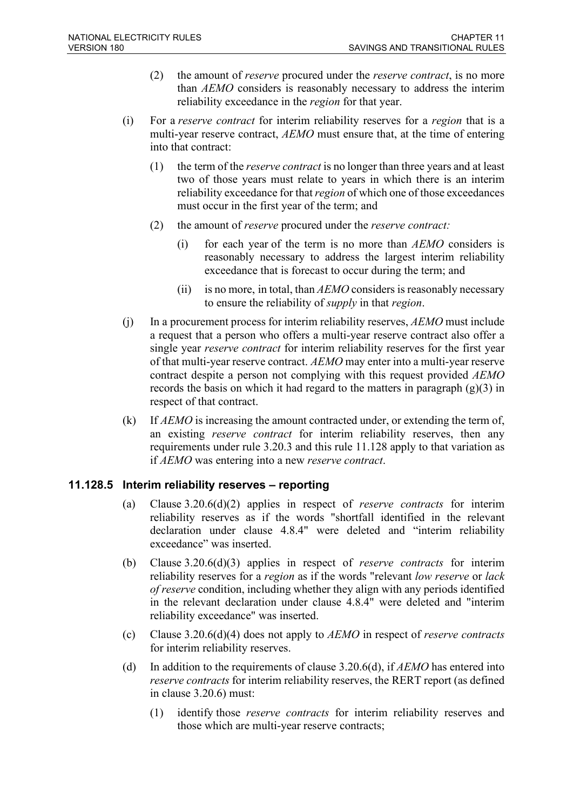- (2) the amount of *reserve* procured under the *reserve contract*, is no more than *AEMO* considers is reasonably necessary to address the interim reliability exceedance in the *region* for that year.
- (i) For a *reserve contract* for interim reliability reserves for a *region* that is a multi-year reserve contract, *AEMO* must ensure that, at the time of entering into that contract:
	- (1) the term of the *reserve contract* is no longer than three years and at least two of those years must relate to years in which there is an interim reliability exceedance for that *region* of which one of those exceedances must occur in the first year of the term; and
	- (2) the amount of *reserve* procured under the *reserve contract:*
		- (i) for each year of the term is no more than *AEMO* considers is reasonably necessary to address the largest interim reliability exceedance that is forecast to occur during the term; and
		- (ii) is no more, in total, than *AEMO* considers is reasonably necessary to ensure the reliability of *supply* in that *region*.
- (j) In a procurement process for interim reliability reserves, *AEMO* must include a request that a person who offers a multi-year reserve contract also offer a single year *reserve contract* for interim reliability reserves for the first year of that multi-year reserve contract. *AEMO* may enter into a multi-year reserve contract despite a person not complying with this request provided *AEMO* records the basis on which it had regard to the matters in paragraph  $(g)(3)$  in respect of that contract.
- (k) If *AEMO* is increasing the amount contracted under, or extending the term of, an existing *reserve contract* for interim reliability reserves, then any requirements under rule 3.20.3 and this rule 11.128 apply to that variation as if *AEMO* was entering into a new *reserve contract*.

## **11.128.5 Interim reliability reserves – reporting**

- (a) Clause 3.20.6(d)(2) applies in respect of *reserve contracts* for interim reliability reserves as if the words "shortfall identified in the relevant declaration under clause 4.8.4" were deleted and "interim reliability exceedance" was inserted.
- (b) Clause 3.20.6(d)(3) applies in respect of *reserve contracts* for interim reliability reserves for a *region* as if the words "relevant *low reserve* or *lack of reserve* condition, including whether they align with any periods identified in the relevant declaration under clause 4.8.4" were deleted and "interim reliability exceedance" was inserted.
- (c) Clause 3.20.6(d)(4) does not apply to *AEMO* in respect of *reserve contracts* for interim reliability reserves.
- (d) In addition to the requirements of clause 3.20.6(d), if *AEMO* has entered into *reserve contracts* for interim reliability reserves, the RERT report (as defined in clause 3.20.6) must:
	- (1) identify those *reserve contracts* for interim reliability reserves and those which are multi-year reserve contracts;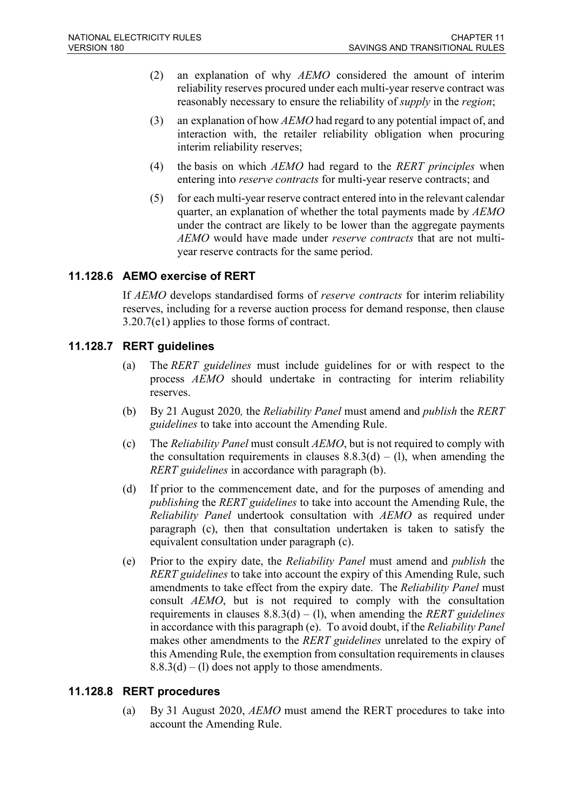- (2) an explanation of why *AEMO* considered the amount of interim reliability reserves procured under each multi-year reserve contract was reasonably necessary to ensure the reliability of *supply* in the *region*;
- (3) an explanation of how *AEMO* had regard to any potential impact of, and interaction with, the retailer reliability obligation when procuring interim reliability reserves;
- (4) the basis on which *AEMO* had regard to the *RERT principles* when entering into *reserve contracts* for multi-year reserve contracts; and
- (5) for each multi-year reserve contract entered into in the relevant calendar quarter, an explanation of whether the total payments made by *AEMO* under the contract are likely to be lower than the aggregate payments *AEMO* would have made under *reserve contracts* that are not multiyear reserve contracts for the same period.

## **11.128.6 AEMO exercise of RERT**

If *AEMO* develops standardised forms of *reserve contracts* for interim reliability reserves, including for a reverse auction process for demand response, then clause 3.20.7(e1) applies to those forms of contract.

## **11.128.7 RERT guidelines**

- (a) The *RERT guidelines* must include guidelines for or with respect to the process *AEMO* should undertake in contracting for interim reliability reserves.
- (b) By 21 August 2020*,* the *Reliability Panel* must amend and *publish* the *RERT guidelines* to take into account the Amending Rule.
- (c) The *Reliability Panel* must consult *AEMO*, but is not required to comply with the consultation requirements in clauses  $8.8.3(d) - (1)$ , when amending the *RERT guidelines* in accordance with paragraph (b).
- (d) If prior to the commencement date, and for the purposes of amending and *publishing* the *RERT guidelines* to take into account the Amending Rule, the *Reliability Panel* undertook consultation with *AEMO* as required under paragraph (c), then that consultation undertaken is taken to satisfy the equivalent consultation under paragraph (c).
- (e) Prior to the expiry date, the *Reliability Panel* must amend and *publish* the *RERT guidelines* to take into account the expiry of this Amending Rule, such amendments to take effect from the expiry date. The *Reliability Panel* must consult *AEMO*, but is not required to comply with the consultation requirements in clauses 8.8.3(d) – (l), when amending the *RERT guidelines* in accordance with this paragraph (e). To avoid doubt, if the *Reliability Panel* makes other amendments to the *RERT guidelines* unrelated to the expiry of this Amending Rule, the exemption from consultation requirements in clauses  $8.8.3(d) - (1)$  does not apply to those amendments.

## **11.128.8 RERT procedures**

(a) By 31 August 2020, *AEMO* must amend the RERT procedures to take into account the Amending Rule.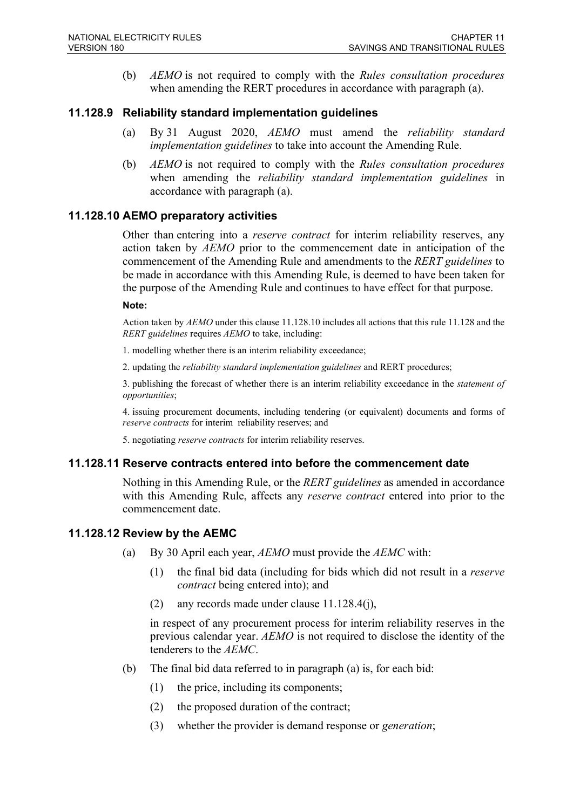(b) *AEMO* is not required to comply with the *Rules consultation procedures* when amending the RERT procedures in accordance with paragraph (a).

## **11.128.9 Reliability standard implementation guidelines**

- (a) By 31 August 2020, *AEMO* must amend the *reliability standard implementation guidelines* to take into account the Amending Rule.
- (b) *AEMO* is not required to comply with the *Rules consultation procedures* when amending the *reliability standard implementation guidelines* in accordance with paragraph (a).

#### **11.128.10 AEMO preparatory activities**

Other than entering into a *reserve contract* for interim reliability reserves, any action taken by *AEMO* prior to the commencement date in anticipation of the commencement of the Amending Rule and amendments to the *RERT guidelines* to be made in accordance with this Amending Rule, is deemed to have been taken for the purpose of the Amending Rule and continues to have effect for that purpose.

#### **Note:**

Action taken by *AEMO* under this clause 11.128.10 includes all actions that this rule 11.128 and the *RERT guidelines* requires *AEMO* to take, including:

- 1. modelling whether there is an interim reliability exceedance;
- 2. updating the *reliability standard implementation guidelines* and RERT procedures;

3. publishing the forecast of whether there is an interim reliability exceedance in the *statement of opportunities*;

4. issuing procurement documents, including tendering (or equivalent) documents and forms of *reserve contracts* for interim reliability reserves; and

5. negotiating *reserve contracts* for interim reliability reserves.

#### **11.128.11 Reserve contracts entered into before the commencement date**

Nothing in this Amending Rule, or the *RERT guidelines* as amended in accordance with this Amending Rule, affects any *reserve contract* entered into prior to the commencement date.

#### **11.128.12 Review by the AEMC**

- (a) By 30 April each year, *AEMO* must provide the *AEMC* with:
	- (1) the final bid data (including for bids which did not result in a *reserve contract* being entered into); and
	- (2) any records made under clause 11.128.4(j),

in respect of any procurement process for interim reliability reserves in the previous calendar year. *AEMO* is not required to disclose the identity of the tenderers to the *AEMC*.

- (b) The final bid data referred to in paragraph (a) is, for each bid:
	- (1) the price, including its components;
	- (2) the proposed duration of the contract;
	- (3) whether the provider is demand response or *generation*;